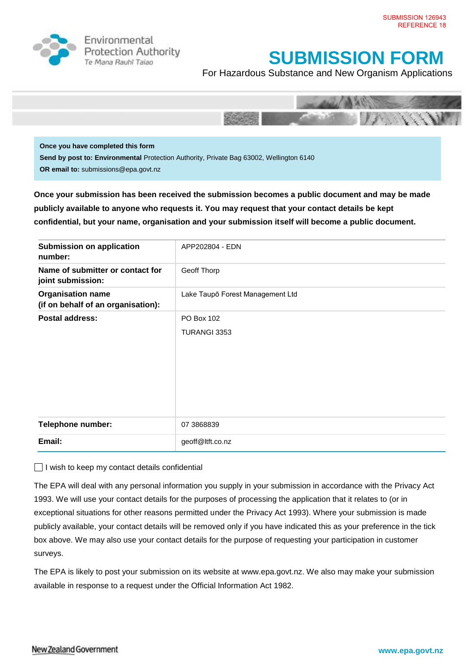

Environmental **Protection Authority** Te Mana Rauhī Tajao

## **SUBMISSION FORM**

For Hazardous Substance and New Organism Applications



**Once you have completed this form Send by post to: Environmental** Protection Authority, Private Bag 63002, Wellington 6140 **OR email to:** submissions@epa.govt.nz

**Once your submission has been received the submission becomes a public document and may be made publicly available to anyone who requests it. You may request that your contact details be kept confidential, but your name, organisation and your submission itself will become a public document.** 

| <b>Submission on application</b><br>number:                    | APP202804 - EDN                  |
|----------------------------------------------------------------|----------------------------------|
| Name of submitter or contact for<br>joint submission:          | Geoff Thorp                      |
| <b>Organisation name</b><br>(if on behalf of an organisation): | Lake Taupō Forest Management Ltd |
| <b>Postal address:</b>                                         | PO Box 102<br>TURANGI 3353       |
| <b>Telephone number:</b>                                       | 07 3868839                       |
| Email:                                                         | geoff@ltft.co.nz                 |

 $\Box$  I wish to keep my contact details confidential

The EPA will deal with any personal information you supply in your submission in accordance with the Privacy Act 1993. We will use your contact details for the purposes of processing the application that it relates to (or in exceptional situations for other reasons permitted under the Privacy Act 1993). Where your submission is made publicly available, your contact details will be removed only if you have indicated this as your preference in the tick box above. We may also use your contact details for the purpose of requesting your participation in customer surveys.

The EPA is likely to post your submission on its website at [www.epa.govt.nz.](http://www.ermanz.govt.nz/) We also may make your submission available in response to a request under the Official Information Act 1982.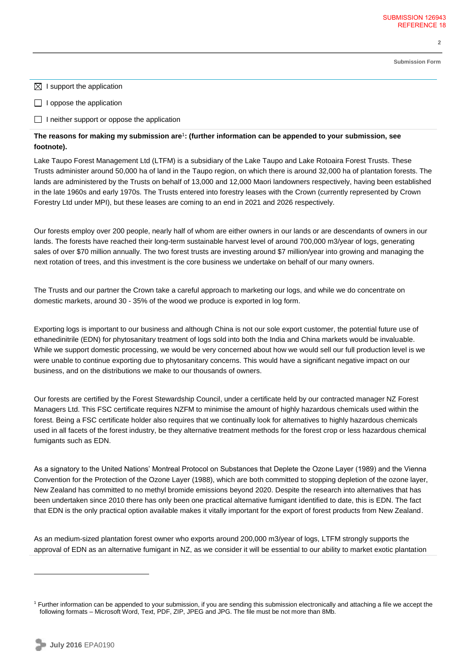**Submission Form**

**2** 

 $\boxtimes$  I support the application

 $\Box$  I oppose the application

 $\Box$  I neither support or oppose the application

## **The reasons for making my submission are**<sup>1</sup> **: (further information can be appended to your submission, see footnote).**

Lake Taupo Forest Management Ltd (LTFM) is a subsidiary of the Lake Taupo and Lake Rotoaira Forest Trusts. These Trusts administer around 50,000 ha of land in the Taupo region, on which there is around 32,000 ha of plantation forests. The lands are administered by the Trusts on behalf of 13,000 and 12,000 Maori landowners respectively, having been established in the late 1960s and early 1970s. The Trusts entered into forestry leases with the Crown (currently represented by Crown Forestry Ltd under MPI), but these leases are coming to an end in 2021 and 2026 respectively.

Our forests employ over 200 people, nearly half of whom are either owners in our lands or are descendants of owners in our lands. The forests have reached their long-term sustainable harvest level of around 700,000 m3/year of logs, generating sales of over \$70 million annually. The two forest trusts are investing around \$7 million/year into growing and managing the next rotation of trees, and this investment is the core business we undertake on behalf of our many owners.

The Trusts and our partner the Crown take a careful approach to marketing our logs, and while we do concentrate on domestic markets, around 30 - 35% of the wood we produce is exported in log form.

Exporting logs is important to our business and although China is not our sole export customer, the potential future use of ethanedinitrile (EDN) for phytosanitary treatment of logs sold into both the India and China markets would be invaluable. While we support domestic processing, we would be very concerned about how we would sell our full production level is we were unable to continue exporting due to phytosanitary concerns. This would have a significant negative impact on our business, and on the distributions we make to our thousands of owners.

Our forests are certified by the Forest Stewardship Council, under a certificate held by our contracted manager NZ Forest Managers Ltd. This FSC certificate requires NZFM to minimise the amount of highly hazardous chemicals used within the forest. Being a FSC certificate holder also requires that we continually look for alternatives to highly hazardous chemicals used in all facets of the forest industry, be they alternative treatment methods for the forest crop or less hazardous chemical fumigants such as EDN.

As a signatory to the United Nations' Montreal Protocol on Substances that Deplete the Ozone Layer (1989) and the Vienna Convention for the Protection of the Ozone Layer (1988), which are both committed to stopping depletion of the ozone layer, New Zealand has committed to no methyl bromide emissions beyond 2020. Despite the research into alternatives that has been undertaken since 2010 there has only been one practical alternative fumigant identified to date, this is EDN. The fact that EDN is the only practical option available makes it vitally important for the export of forest products from New Zealand.

As an medium-sized plantation forest owner who exports around 200,000 m3/year of logs, LTFM strongly supports the approval of EDN as an alternative fumigant in NZ, as we consider it will be essential to our ability to market exotic plantation

 $\overline{a}$ 

<sup>&</sup>lt;sup>1</sup> Further information can be appended to your submission, if you are sending this submission electronically and attaching a file we accept the following formats – Microsoft Word, Text, PDF, ZIP, JPEG and JPG. The file must be not more than 8Mb.